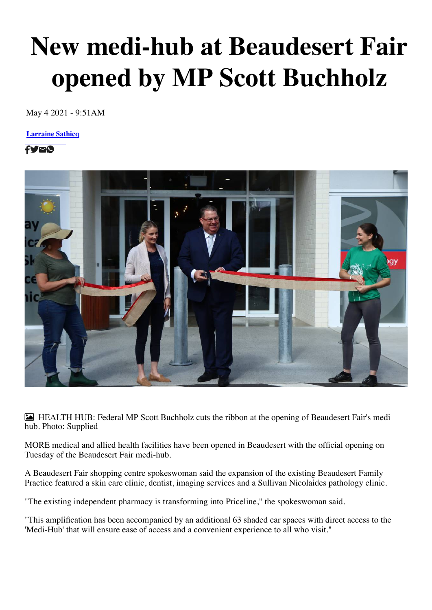## **New medi-hub at Beaudesert Fair opened by MP Scott Buchholz**

May [4 2021 - 9:51AM](https://www.beaudeserttimes.com.au/profile/588/larraine-sathicq)

**[L](https://www.facebook.com/sharer/sharer.php?u=https://www.beaudeserttimes.com.au/story/7235074/beaudesert-fair-launches-new-medi-hub/)[ar](https://twitter.com/share?url=https://www.beaudeserttimes.com.au/story/7235074/beaudesert-fair-launches-new-medi-hub/&text=Beaudesert%20Fair%20launches%20new%20medi-hub&via=beaudeserttimes)[rai](mailto:?subject=Beaudesert%20Fair%20launches%20new%20medi-hub&body=I%20would%20like%20to%20share%20something%20with%20you%0A%0Dhttps%3A%2F%2Fwww.beaudeserttimes.com.au/story/7235074/beaudesert-fair-launches-new-medi-hub/)[ne](whatsapp://send?text=Beaudesert%20Fair%20launches%20new%20medi-hub%20https://www.beaudeserttimes.com.au/story/7235074/beaudesert-fair-launches-new-medi-hub/) Sathicq**

fyro



 HEALTH HUB: Federal MP Scott Buchholz cuts the ribbon at the opening of Beaudesert Fair's medi hub. Photo: Supplied

MORE medical and allied health facilities have been opened in Beaudesert with the official opening on Tuesday of the Beaudesert Fair medi-hub.

A Beaudesert Fair shopping centre spokeswoman said the expansion of the existing Beaudesert Family Practice featured a skin care clinic, dentist, imaging services and a Sullivan Nicolaides pathology clinic.

"The existing independent pharmacy is transforming into Priceline," the spokeswoman said.

"This amplification has been accompanied by an additional 63 shaded car spaces with direct access to the 'Medi-Hub' that will ensure ease of access and a convenient experience to all who visit."